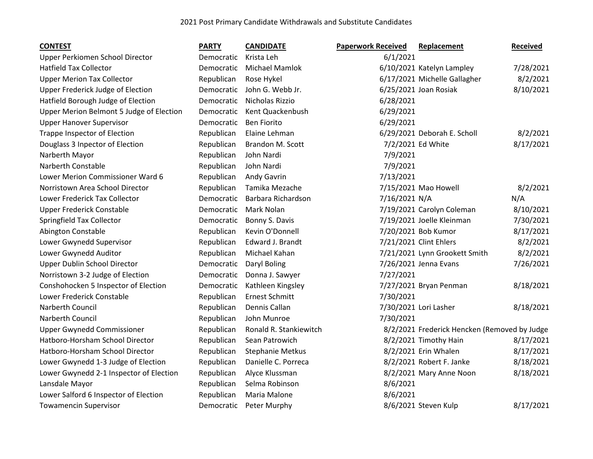## 2021 Post Primary Candidate Withdrawals and Substitute Candidates

| <b>CONTEST</b>                           | <b>PARTY</b> | <b>CANDIDATE</b>       | <b>Paperwork Received</b> | Replacement                                  | Received  |
|------------------------------------------|--------------|------------------------|---------------------------|----------------------------------------------|-----------|
| Upper Perkiomen School Director          | Democratic   | Krista Leh             | 6/1/2021                  |                                              |           |
| <b>Hatfield Tax Collector</b>            | Democratic   | <b>Michael Mamlok</b>  |                           | 6/10/2021 Katelyn Lampley                    | 7/28/2021 |
| <b>Upper Merion Tax Collector</b>        | Republican   | Rose Hykel             |                           | 6/17/2021 Michelle Gallagher                 | 8/2/2021  |
| Upper Frederick Judge of Election        | Democratic   | John G. Webb Jr.       |                           | 6/25/2021 Joan Rosiak                        | 8/10/2021 |
| Hatfield Borough Judge of Election       | Democratic   | Nicholas Rizzio        | 6/28/2021                 |                                              |           |
| Upper Merion Belmont 5 Judge of Election | Democratic   | Kent Quackenbush       | 6/29/2021                 |                                              |           |
| <b>Upper Hanover Supervisor</b>          | Democratic   | <b>Ben Fiorito</b>     | 6/29/2021                 |                                              |           |
| <b>Trappe Inspector of Election</b>      | Republican   | Elaine Lehman          |                           | 6/29/2021 Deborah E. Scholl                  | 8/2/2021  |
| Douglass 3 Inpector of Election          | Republican   | Brandon M. Scott       |                           | 7/2/2021 Ed White                            | 8/17/2021 |
| Narberth Mayor                           | Republican   | John Nardi             | 7/9/2021                  |                                              |           |
| Narberth Constable                       | Republican   | John Nardi             | 7/9/2021                  |                                              |           |
| Lower Merion Commissioner Ward 6         | Republican   | Andy Gavrin            | 7/13/2021                 |                                              |           |
| Norristown Area School Director          | Republican   | Tamika Mezache         |                           | 7/15/2021 Mao Howell                         | 8/2/2021  |
| Lower Frederick Tax Collector            | Democratic   | Barbara Richardson     | 7/16/2021 N/A             |                                              | N/A       |
| <b>Upper Frederick Constable</b>         | Democratic   | Mark Nolan             |                           | 7/19/2021 Carolyn Coleman                    | 8/10/2021 |
| Springfield Tax Collector                | Democratic   | Bonny S. Davis         |                           | 7/19/2021 Joelle Kleinman                    | 7/30/2021 |
| Abington Constable                       | Republican   | Kevin O'Donnell        |                           | 7/20/2021 Bob Kumor                          | 8/17/2021 |
| Lower Gwynedd Supervisor                 | Republican   | Edward J. Brandt       |                           | 7/21/2021 Clint Ehlers                       | 8/2/2021  |
| Lower Gwynedd Auditor                    | Republican   | Michael Kahan          |                           | 7/21/2021 Lynn Grookett Smith                | 8/2/2021  |
| Upper Dublin School Director             | Democratic   | Daryl Boling           |                           | 7/26/2021 Jenna Evans                        | 7/26/2021 |
| Norristown 3-2 Judge of Election         | Democratic   | Donna J. Sawyer        | 7/27/2021                 |                                              |           |
| Conshohocken 5 Inspector of Election     | Democratic   | Kathleen Kingsley      |                           | 7/27/2021 Bryan Penman                       | 8/18/2021 |
| Lower Frederick Constable                | Republican   | <b>Ernest Schmitt</b>  | 7/30/2021                 |                                              |           |
| Narberth Council                         | Republican   | Dennis Callan          |                           | 7/30/2021 Lori Lasher                        | 8/18/2021 |
| Narberth Council                         | Republican   | John Munroe            | 7/30/2021                 |                                              |           |
| <b>Upper Gwynedd Commissioner</b>        | Republican   | Ronald R. Stankiewitch |                           | 8/2/2021 Frederick Hencken (Removed by Judge |           |
| Hatboro-Horsham School Director          | Republican   | Sean Patrowich         |                           | 8/2/2021 Timothy Hain                        | 8/17/2021 |
| Hatboro-Horsham School Director          | Republican   | Stephanie Metkus       |                           | 8/2/2021 Erin Whalen                         | 8/17/2021 |
| Lower Gwynedd 1-3 Judge of Election      | Republican   | Danielle C. Porreca    |                           | 8/2/2021 Robert F. Janke                     | 8/18/2021 |
| Lower Gwynedd 2-1 Inspector of Election  | Republican   | Alyce Klussman         |                           | 8/2/2021 Mary Anne Noon                      | 8/18/2021 |
| Lansdale Mayor                           | Republican   | Selma Robinson         | 8/6/2021                  |                                              |           |
| Lower Salford 6 Inspector of Election    | Republican   | Maria Malone           | 8/6/2021                  |                                              |           |
| <b>Towamencin Supervisor</b>             | Democratic   | Peter Murphy           |                           | 8/6/2021 Steven Kulp                         | 8/17/2021 |